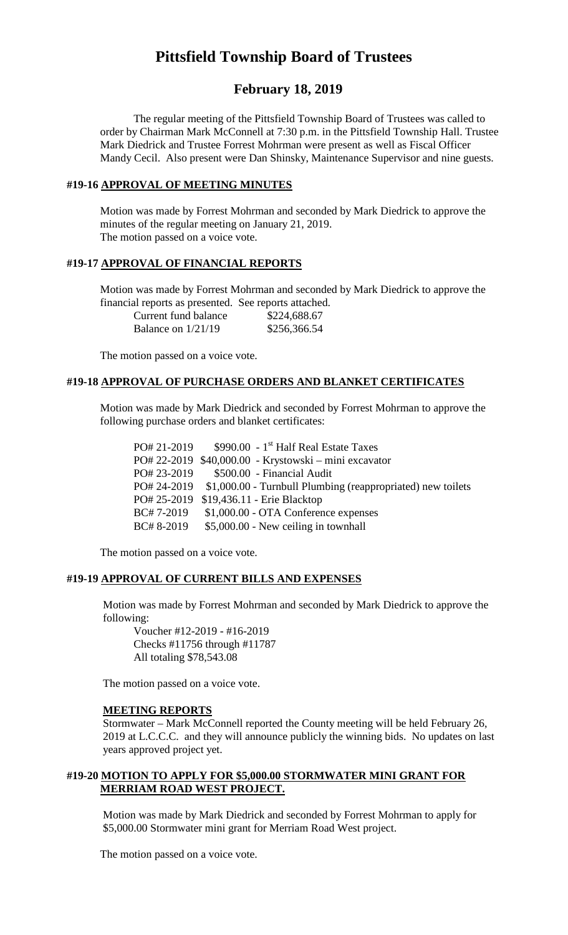# **Pittsfield Township Board of Trustees**

# **February 18, 2019**

The regular meeting of the Pittsfield Township Board of Trustees was called to order by Chairman Mark McConnell at 7:30 p.m. in the Pittsfield Township Hall. Trustee Mark Diedrick and Trustee Forrest Mohrman were present as well as Fiscal Officer Mandy Cecil. Also present were Dan Shinsky, Maintenance Supervisor and nine guests.

## **#19-16 APPROVAL OF MEETING MINUTES**

Motion was made by Forrest Mohrman and seconded by Mark Diedrick to approve the minutes of the regular meeting on January 21, 2019. The motion passed on a voice vote.

## **#19-17 APPROVAL OF FINANCIAL REPORTS**

Motion was made by Forrest Mohrman and seconded by Mark Diedrick to approve the financial reports as presented. See reports attached.

| Current fund balance | \$224,688.67 |
|----------------------|--------------|
| Balance on $1/21/19$ | \$256,366.54 |

The motion passed on a voice vote.

# **#19-18 APPROVAL OF PURCHASE ORDERS AND BLANKET CERTIFICATES**

Motion was made by Mark Diedrick and seconded by Forrest Mohrman to approve the following purchase orders and blanket certificates:

| PO# 21-2019 | $$990.00 - 1st$ Half Real Estate Taxes                                  |
|-------------|-------------------------------------------------------------------------|
|             | PO# 22-2019 \$40,000.00 - Krystowski – mini excavator                   |
| PO# 23-2019 | \$500.00 - Financial Audit                                              |
|             | PO# 24-2019 \$1,000.00 - Turnbull Plumbing (reappropriated) new toilets |
|             | PO# 25-2019 \$19,436.11 - Erie Blacktop                                 |
| BC#7-2019   | \$1,000.00 - OTA Conference expenses                                    |
| BC#8-2019   | \$5,000.00 - New ceiling in townhall                                    |

The motion passed on a voice vote.

#### **#19-19 APPROVAL OF CURRENT BILLS AND EXPENSES**

Motion was made by Forrest Mohrman and seconded by Mark Diedrick to approve the following:

Voucher #12-2019 - #16-2019 Checks #11756 through #11787 All totaling \$78,543.08

The motion passed on a voice vote.

#### **MEETING REPORTS**

Stormwater – Mark McConnell reported the County meeting will be held February 26, 2019 at L.C.C.C. and they will announce publicly the winning bids. No updates on last years approved project yet.

## **#19-20 MOTION TO APPLY FOR \$5,000.00 STORMWATER MINI GRANT FOR MERRIAM ROAD WEST PROJECT.**

Motion was made by Mark Diedrick and seconded by Forrest Mohrman to apply for \$5,000.00 Stormwater mini grant for Merriam Road West project.

The motion passed on a voice vote.